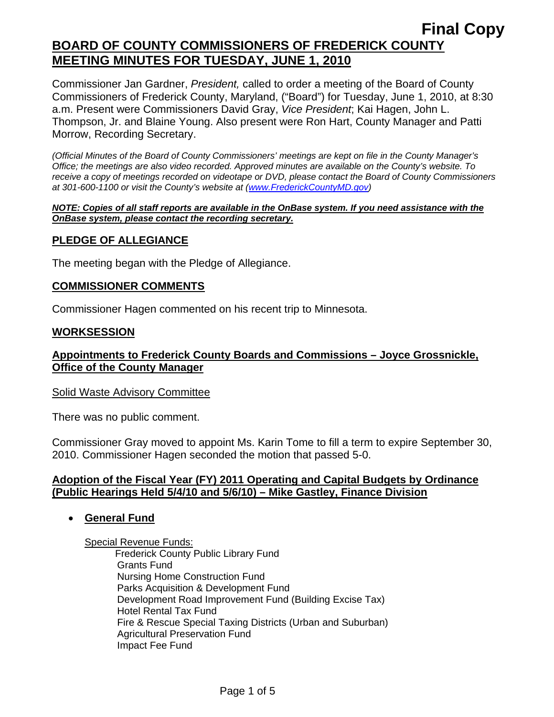Commissioner Jan Gardner, *President,* called to order a meeting of the Board of County Commissioners of Frederick County, Maryland, ("Board") for Tuesday, June 1, 2010, at 8:30 a.m. Present were Commissioners David Gray, *Vice President*; Kai Hagen, John L. Thompson, Jr. and Blaine Young. Also present were Ron Hart, County Manager and Patti Morrow, Recording Secretary.

*(Official Minutes of the Board of County Commissioners' meetings are kept on file in the County Manager's Office; the meetings are also video recorded. Approved minutes are available on the County's website. To receive a copy of meetings recorded on videotape or DVD, please contact the Board of County Commissioners at 301-600-1100 or visit the County's website at ([www.FrederickCountyMD.gov](http://www.frederickcountymd.gov/))* 

#### *NOTE: Copies of all staff reports are available in the OnBase system. If you need assistance with the OnBase system, please contact the recording secretary.*

## **PLEDGE OF ALLEGIANCE**

The meeting began with the Pledge of Allegiance.

#### **COMMISSIONER COMMENTS**

Commissioner Hagen commented on his recent trip to Minnesota.

#### **WORKSESSION**

## **Appointments to Frederick County Boards and Commissions – Joyce Grossnickle, Office of the County Manager**

#### Solid Waste Advisory Committee

There was no public comment.

Commissioner Gray moved to appoint Ms. Karin Tome to fill a term to expire September 30, 2010. Commissioner Hagen seconded the motion that passed 5-0.

### **Adoption of the Fiscal Year (FY) 2011 Operating and Capital Budgets by Ordinance (Public Hearings Held 5/4/10 and 5/6/10) – Mike Gastley, Finance Division**

### • **General Fund**

Special Revenue Funds:

 Frederick County Public Library Fund Grants Fund Nursing Home Construction Fund Parks Acquisition & Development Fund Development Road Improvement Fund (Building Excise Tax) Hotel Rental Tax Fund Fire & Rescue Special Taxing Districts (Urban and Suburban) Agricultural Preservation Fund Impact Fee Fund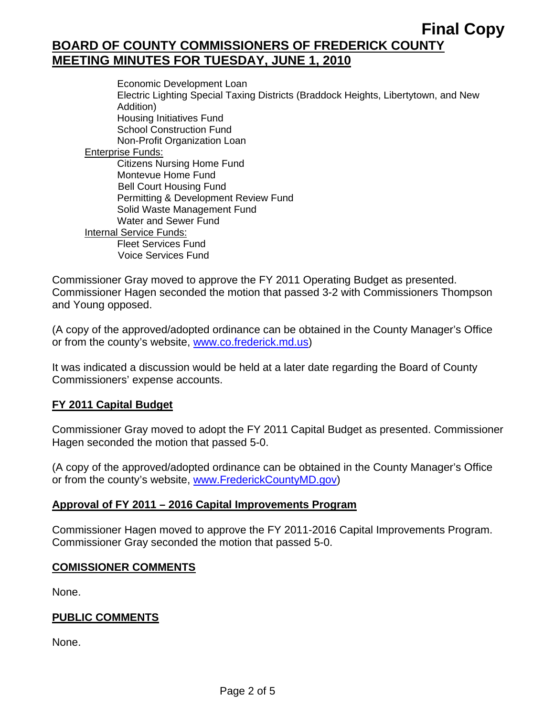Economic Development Loan Electric Lighting Special Taxing Districts (Braddock Heights, Libertytown, and New Addition) Housing Initiatives Fund School Construction Fund Non-Profit Organization Loan Enterprise Funds: Citizens Nursing Home Fund Montevue Home Fund Bell Court Housing Fund Permitting & Development Review Fund Solid Waste Management Fund Water and Sewer Fund Internal Service Funds: Fleet Services Fund Voice Services Fund

Commissioner Gray moved to approve the FY 2011 Operating Budget as presented. Commissioner Hagen seconded the motion that passed 3-2 with Commissioners Thompson and Young opposed.

(A copy of the approved/adopted ordinance can be obtained in the County Manager's Office or from the county's website, www.co.frederick.md.us)

It was indicated a discussion would be held at a later date regarding the Board of County Commissioners' expense accounts.

## **FY 2011 Capital Budget**

Commissioner Gray moved to adopt the FY 2011 Capital Budget as presented. Commissioner Hagen seconded the motion that passed 5-0.

(A copy of the approved/adopted ordinance can be obtained in the County Manager's Office or from the county's website, [www.FrederickCountyMD.gov](http://www.frederickcountymd.gov/))

### **Approval of FY 2011 – 2016 Capital Improvements Program**

Commissioner Hagen moved to approve the FY 2011-2016 Capital Improvements Program. Commissioner Gray seconded the motion that passed 5-0.

### **COMISSIONER COMMENTS**

None.

### **PUBLIC COMMENTS**

None.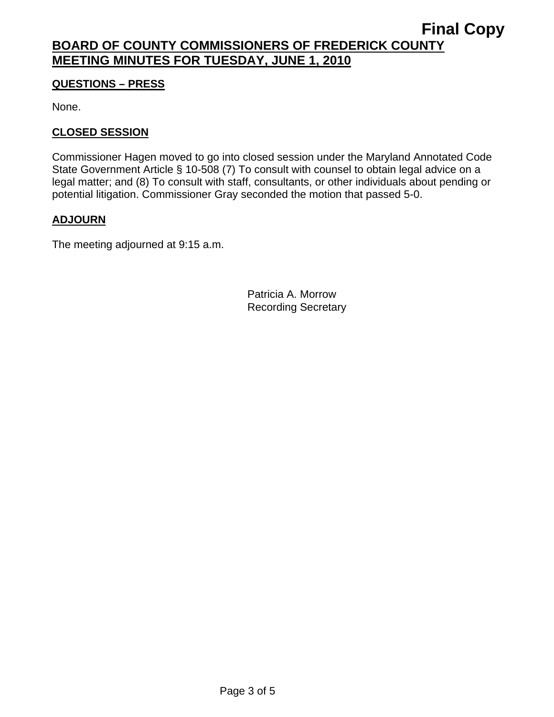## **QUESTIONS – PRESS**

None.

## **CLOSED SESSION**

Commissioner Hagen moved to go into closed session under the Maryland Annotated Code State Government Article § 10-508 (7) To consult with counsel to obtain legal advice on a legal matter; and (8) To consult with staff, consultants, or other individuals about pending or potential litigation. Commissioner Gray seconded the motion that passed 5-0.

## **ADJOURN**

The meeting adjourned at 9:15 a.m.

Patricia A. Morrow Recording Secretary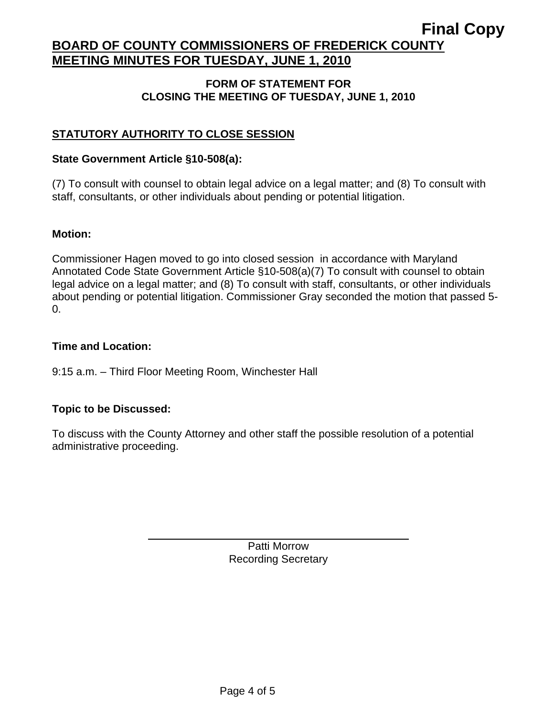### **FORM OF STATEMENT FOR CLOSING THE MEETING OF TUESDAY, JUNE 1, 2010**

## **STATUTORY AUTHORITY TO CLOSE SESSION**

### **State Government Article §10-508(a):**

(7) To consult with counsel to obtain legal advice on a legal matter; and (8) To consult with staff, consultants, or other individuals about pending or potential litigation.

### **Motion:**

Commissioner Hagen moved to go into closed session in accordance with Maryland Annotated Code State Government Article §10-508(a)(7) To consult with counsel to obtain legal advice on a legal matter; and (8) To consult with staff, consultants, or other individuals about pending or potential litigation. Commissioner Gray seconded the motion that passed 5- 0.

### **Time and Location:**

### 9:15 a.m. – Third Floor Meeting Room, Winchester Hall

### **Topic to be Discussed:**

 $\overline{a}$ 

To discuss with the County Attorney and other staff the possible resolution of a potential administrative proceeding.

> Patti Morrow Recording Secretary